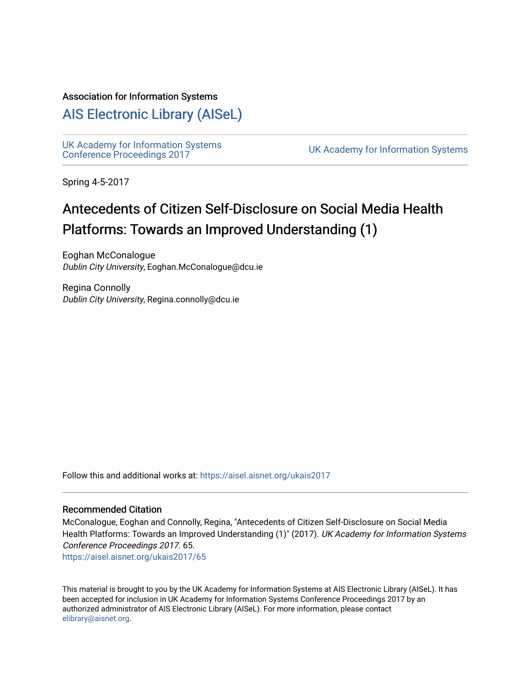#### Association for Information Systems

## [AIS Electronic Library \(AISeL\)](https://aisel.aisnet.org/)

UK Academy for Information Systems<br>Conference Proceedings 2017

UK Academy for Information Systems

Spring 4-5-2017

## Antecedents of Citizen Self-Disclosure on Social Media Health Platforms: Towards an Improved Understanding (1)

Eoghan McConalogue Dublin City University, Eoghan.McConalogue@dcu.ie

Regina Connolly Dublin City University, Regina.connolly@dcu.ie

Follow this and additional works at: [https://aisel.aisnet.org/ukais2017](https://aisel.aisnet.org/ukais2017?utm_source=aisel.aisnet.org%2Fukais2017%2F65&utm_medium=PDF&utm_campaign=PDFCoverPages)

#### Recommended Citation

McConalogue, Eoghan and Connolly, Regina, "Antecedents of Citizen Self-Disclosure on Social Media Health Platforms: Towards an Improved Understanding (1)" (2017). UK Academy for Information Systems Conference Proceedings 2017. 65.

[https://aisel.aisnet.org/ukais2017/65](https://aisel.aisnet.org/ukais2017/65?utm_source=aisel.aisnet.org%2Fukais2017%2F65&utm_medium=PDF&utm_campaign=PDFCoverPages) 

This material is brought to you by the UK Academy for Information Systems at AIS Electronic Library (AISeL). It has been accepted for inclusion in UK Academy for Information Systems Conference Proceedings 2017 by an authorized administrator of AIS Electronic Library (AISeL). For more information, please contact [elibrary@aisnet.org](mailto:elibrary@aisnet.org%3E).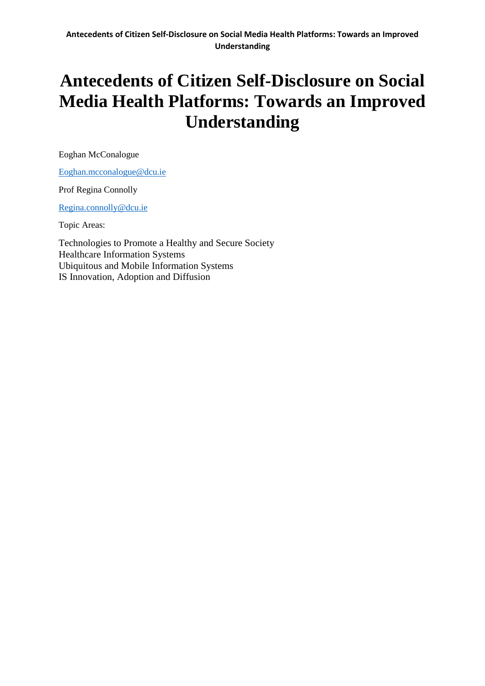Eoghan McConalogue

[Eoghan.mcconalogue@dcu.ie](mailto:Eoghan.mcconalogue@dcu.ie)

Prof Regina Connolly

[Regina.connolly@dcu.ie](mailto:Regina.connolly@dcu.ie)

Topic Areas:

Technologies to Promote a Healthy and Secure Society Healthcare Information Systems Ubiquitous and Mobile Information Systems IS Innovation, Adoption and Diffusion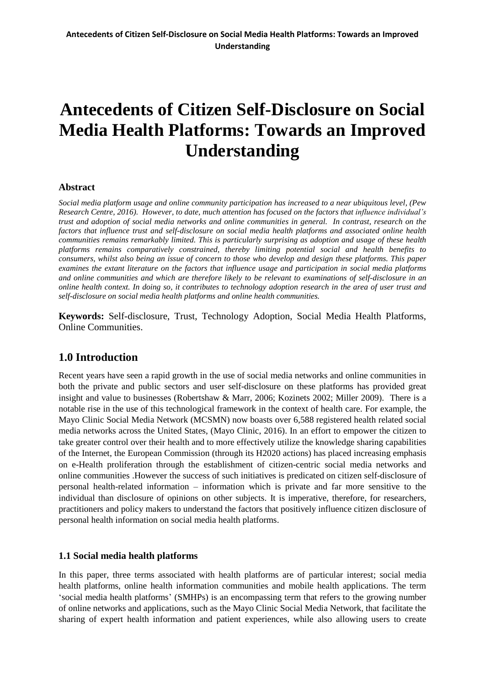#### **Abstract**

*Social media platform usage and online community participation has increased to a near ubiquitous level, (Pew Research Centre, 2016). However, to date, much attention has focused on the factors that influence individual's trust and adoption of social media networks and online communities in general. In contrast, research on the factors that influence trust and self-disclosure on social media health platforms and associated online health communities remains remarkably limited. This is particularly surprising as adoption and usage of these health platforms remains comparatively constrained, thereby limiting potential social and health benefits to consumers, whilst also being an issue of concern to those who develop and design these platforms. This paper examines the extant literature on the factors that influence usage and participation in social media platforms and online communities and which are therefore likely to be relevant to examinations of self-disclosure in an online health context. In doing so, it contributes to technology adoption research in the area of user trust and self-disclosure on social media health platforms and online health communities.*

**Keywords:** Self-disclosure, Trust, Technology Adoption, Social Media Health Platforms, Online Communities.

## **1.0 Introduction**

Recent years have seen a rapid growth in the use of social media networks and online communities in both the private and public sectors and user self-disclosure on these platforms has provided great insight and value to businesses (Robertshaw & Marr, 2006; Kozinets 2002; Miller 2009). There is a notable rise in the use of this technological framework in the context of health care. For example, the Mayo Clinic Social Media Network (MCSMN) now boasts over 6,588 registered health related social media networks across the United States, (Mayo Clinic, 2016). In an effort to empower the citizen to take greater control over their health and to more effectively utilize the knowledge sharing capabilities of the Internet, the European Commission (through its H2020 actions) has placed increasing emphasis on e-Health proliferation through the establishment of citizen-centric social media networks and online communities .However the success of such initiatives is predicated on citizen self-disclosure of personal health-related information – information which is private and far more sensitive to the individual than disclosure of opinions on other subjects. It is imperative, therefore, for researchers, practitioners and policy makers to understand the factors that positively influence citizen disclosure of personal health information on social media health platforms.

#### **1.1 Social media health platforms**

In this paper, three terms associated with health platforms are of particular interest; social media health platforms, online health information communities and mobile health applications. The term 'social media health platforms' (SMHPs) is an encompassing term that refers to the growing number of online networks and applications, such as the Mayo Clinic Social Media Network, that facilitate the sharing of expert health information and patient experiences, while also allowing users to create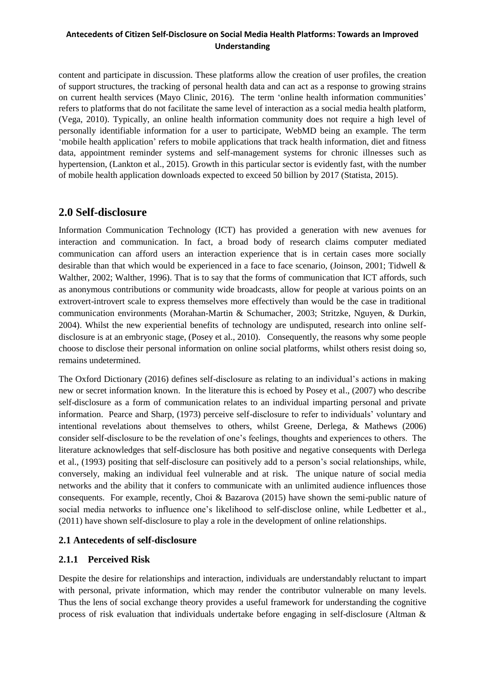content and participate in discussion. These platforms allow the creation of user profiles, the creation of support structures, the tracking of personal health data and can act as a response to growing strains on current health services (Mayo Clinic, 2016). The term 'online health information communities' refers to platforms that do not facilitate the same level of interaction as a social media health platform, (Vega, 2010). Typically, an online health information community does not require a high level of personally identifiable information for a user to participate, WebMD being an example. The term 'mobile health application' refers to mobile applications that track health information, diet and fitness data, appointment reminder systems and self-management systems for chronic illnesses such as hypertension, (Lankton et al., 2015). Growth in this particular sector is evidently fast, with the number of mobile health application downloads expected to exceed 50 billion by 2017 (Statista, 2015).

## **2.0 Self-disclosure**

Information Communication Technology (ICT) has provided a generation with new avenues for interaction and communication. In fact, a broad body of research claims computer mediated communication can afford users an interaction experience that is in certain cases more socially desirable than that which would be experienced in a face to face scenario, (Joinson, 2001; Tidwell & Walther, 2002; Walther, 1996). That is to say that the forms of communication that ICT affords, such as anonymous contributions or community wide broadcasts, allow for people at various points on an extrovert-introvert scale to express themselves more effectively than would be the case in traditional communication environments (Morahan-Martin & Schumacher, 2003; Stritzke, Nguyen, & Durkin, 2004). Whilst the new experiential benefits of technology are undisputed, research into online selfdisclosure is at an embryonic stage, (Posey et al., 2010). Consequently, the reasons why some people choose to disclose their personal information on online social platforms, whilst others resist doing so, remains undetermined.

The Oxford Dictionary (2016) defines self-disclosure as relating to an individual's actions in making new or secret information known. In the literature this is echoed by Posey et al., (2007) who describe self-disclosure as a form of communication relates to an individual imparting personal and private information. Pearce and Sharp, (1973) perceive self-disclosure to refer to individuals' voluntary and intentional revelations about themselves to others, whilst Greene, Derlega, & Mathews (2006) consider self-disclosure to be the revelation of one's feelings, thoughts and experiences to others. The literature acknowledges that self-disclosure has both positive and negative consequents with Derlega et al., (1993) positing that self-disclosure can positively add to a person's social relationships, while, conversely, making an individual feel vulnerable and at risk. The unique nature of social media networks and the ability that it confers to communicate with an unlimited audience influences those consequents. For example, recently, Choi & Bazarova (2015) have shown the semi-public nature of social media networks to influence one's likelihood to self-disclose online, while Ledbetter et al., (2011) have shown self-disclosure to play a role in the development of online relationships.

## **2.1 Antecedents of self-disclosure**

## **2.1.1 Perceived Risk**

Despite the desire for relationships and interaction, individuals are understandably reluctant to impart with personal, private information, which may render the contributor vulnerable on many levels. Thus the lens of social exchange theory provides a useful framework for understanding the cognitive process of risk evaluation that individuals undertake before engaging in self-disclosure (Altman &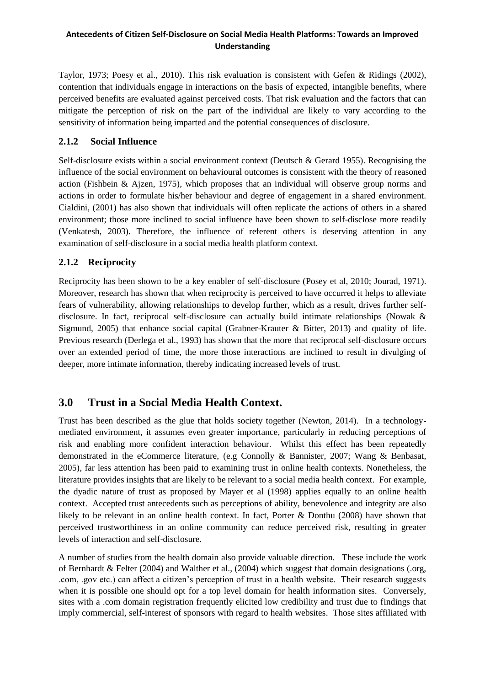Taylor, 1973; Poesy et al., 2010). This risk evaluation is consistent with Gefen & Ridings (2002), contention that individuals engage in interactions on the basis of expected, intangible benefits, where perceived benefits are evaluated against perceived costs. That risk evaluation and the factors that can mitigate the perception of risk on the part of the individual are likely to vary according to the sensitivity of information being imparted and the potential consequences of disclosure.

### **2.1.2 Social Influence**

Self-disclosure exists within a social environment context (Deutsch & Gerard 1955). Recognising the influence of the social environment on behavioural outcomes is consistent with the theory of reasoned action (Fishbein & Ajzen, 1975), which proposes that an individual will observe group norms and actions in order to formulate his/her behaviour and degree of engagement in a shared environment. Cialdini, (2001) has also shown that individuals will often replicate the actions of others in a shared environment; those more inclined to social influence have been shown to self-disclose more readily (Venkatesh, 2003). Therefore, the influence of referent others is deserving attention in any examination of self-disclosure in a social media health platform context.

## **2.1.2 Reciprocity**

Reciprocity has been shown to be a key enabler of self-disclosure (Posey et al, 2010; Jourad, 1971). Moreover, research has shown that when reciprocity is perceived to have occurred it helps to alleviate fears of vulnerability, allowing relationships to develop further, which as a result, drives further selfdisclosure. In fact, reciprocal self-disclosure can actually build intimate relationships (Nowak & Sigmund, 2005) that enhance social capital (Grabner-Krauter & Bitter, 2013) and quality of life. Previous research (Derlega et al., 1993) has shown that the more that reciprocal self-disclosure occurs over an extended period of time, the more those interactions are inclined to result in divulging of deeper, more intimate information, thereby indicating increased levels of trust.

## **3.0 Trust in a Social Media Health Context.**

Trust has been described as the glue that holds society together (Newton, 2014). In a technologymediated environment, it assumes even greater importance, particularly in reducing perceptions of risk and enabling more confident interaction behaviour. Whilst this effect has been repeatedly demonstrated in the eCommerce literature, (e.g Connolly & Bannister, 2007; Wang & Benbasat, 2005), far less attention has been paid to examining trust in online health contexts. Nonetheless, the literature provides insights that are likely to be relevant to a social media health context. For example, the dyadic nature of trust as proposed by Mayer et al (1998) applies equally to an online health context. Accepted trust antecedents such as perceptions of ability, benevolence and integrity are also likely to be relevant in an online health context. In fact, Porter & Donthu (2008) have shown that perceived trustworthiness in an online community can reduce perceived risk, resulting in greater levels of interaction and self-disclosure.

A number of studies from the health domain also provide valuable direction. These include the work of Bernhardt & Felter (2004) and Walther et al., (2004) which suggest that domain designations (.org, .com, .gov etc.) can affect a citizen's perception of trust in a health website. Their research suggests when it is possible one should opt for a top level domain for health information sites. Conversely, sites with a .com domain registration frequently elicited low credibility and trust due to findings that imply commercial, self-interest of sponsors with regard to health websites. Those sites affiliated with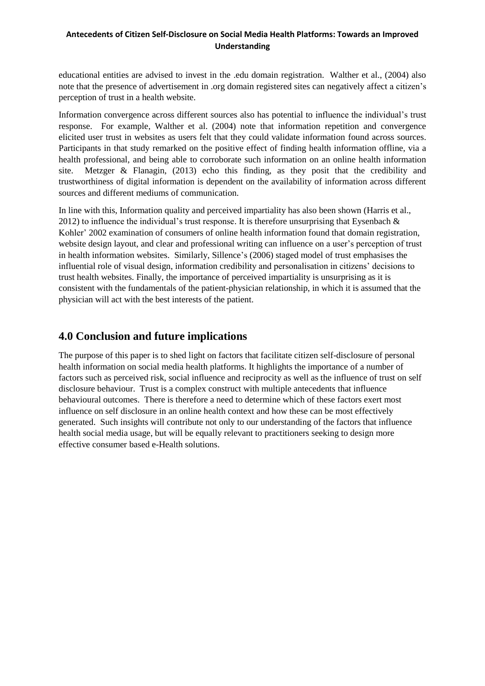educational entities are advised to invest in the .edu domain registration. Walther et al., (2004) also note that the presence of advertisement in .org domain registered sites can negatively affect a citizen's perception of trust in a health website.

Information convergence across different sources also has potential to influence the individual's trust response. For example, Walther et al. (2004) note that information repetition and convergence elicited user trust in websites as users felt that they could validate information found across sources. Participants in that study remarked on the positive effect of finding health information offline, via a health professional, and being able to corroborate such information on an online health information site. Metzger & Flanagin, (2013) echo this finding, as they posit that the credibility and trustworthiness of digital information is dependent on the availability of information across different sources and different mediums of communication.

In line with this, Information quality and perceived impartiality has also been shown (Harris et al., 2012) to influence the individual's trust response. It is therefore unsurprising that Eysenbach  $\&$ Kohler' 2002 examination of consumers of online health information found that domain registration, website design layout, and clear and professional writing can influence on a user's perception of trust in health information websites. Similarly, Sillence's (2006) staged model of trust emphasises the influential role of visual design, information credibility and personalisation in citizens' decisions to trust health websites. Finally, the importance of perceived impartiality is unsurprising as it is consistent with the fundamentals of the patient-physician relationship, in which it is assumed that the physician will act with the best interests of the patient.

## **4.0 Conclusion and future implications**

The purpose of this paper is to shed light on factors that facilitate citizen self-disclosure of personal health information on social media health platforms. It highlights the importance of a number of factors such as perceived risk, social influence and reciprocity as well as the influence of trust on self disclosure behaviour. Trust is a complex construct with multiple antecedents that influence behavioural outcomes. There is therefore a need to determine which of these factors exert most influence on self disclosure in an online health context and how these can be most effectively generated. Such insights will contribute not only to our understanding of the factors that influence health social media usage, but will be equally relevant to practitioners seeking to design more effective consumer based e-Health solutions.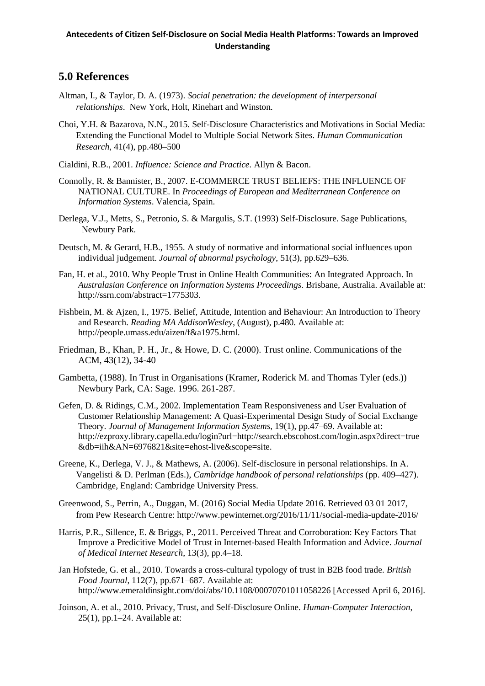## **5.0 References**

- Altman, I., & Taylor, D. A. (1973). *Social penetration: the development of interpersonal relationships*. New York, Holt, Rinehart and Winston.
- Choi, Y.H. & Bazarova, N.N., 2015. Self-Disclosure Characteristics and Motivations in Social Media: Extending the Functional Model to Multiple Social Network Sites. *Human Communication Research*, 41(4), pp.480–500
- Cialdini, R.B., 2001. *Influence: Science and Practice.* Allyn & Bacon.
- Connolly, R. & Bannister, B., 2007. E-COMMERCE TRUST BELIEFS: THE INFLUENCE OF NATIONAL CULTURE. In *Proceedings of European and Mediterranean Conference on Information Systems*. Valencia, Spain.
- Derlega, V.J., Metts, S., Petronio, S. & Margulis, S.T. (1993) Self-Disclosure. Sage Publications, Newbury Park.
- Deutsch, M. & Gerard, H.B., 1955. A study of normative and informational social influences upon individual judgement. *Journal of abnormal psychology*, 51(3), pp.629–636.
- Fan, H. et al., 2010. Why People Trust in Online Health Communities: An Integrated Approach. In *Australasian Conference on Information Systems Proceedings*. Brisbane, Australia. Available at: http://ssrn.com/abstract=1775303.
- Fishbein, M. & Ajzen, I., 1975. Belief, Attitude, Intention and Behaviour: An Introduction to Theory and Research. *Reading MA AddisonWesley*, (August), p.480. Available at: http://people.umass.edu/aizen/f&a1975.html.
- Friedman, B., Khan, P. H., Jr., & Howe, D. C. (2000). Trust online. Communications of the ACM, 43(12), 34-40
- Gambetta, (1988). In Trust in Organisations (Kramer, Roderick M. and Thomas Tyler (eds.)) Newbury Park, CA: Sage. 1996. 261-287.
- Gefen, D. & Ridings, C.M., 2002. Implementation Team Responsiveness and User Evaluation of Customer Relationship Management: A Quasi-Experimental Design Study of Social Exchange Theory. *Journal of Management Information Systems*, 19(1), pp.47–69. Available at: http://ezproxy.library.capella.edu/login?url=http://search.ebscohost.com/login.aspx?direct=true &db=iih&AN=6976821&site=ehost-live&scope=site.
- Greene, K., Derlega, V. J., & Mathews, A. (2006). Self-disclosure in personal relationships. In A. Vangelisti & D. Perlman (Eds.), *Cambridge handbook of personal relationships* (pp. 409–427). Cambridge, England: Cambridge University Press.
- Greenwood, S., Perrin, A., Duggan, M. (2016) Social Media Update 2016. Retrieved 03 01 2017, from Pew Research Centre: http://www.pewinternet.org/2016/11/11/social-media-update-2016/
- Harris, P.R., Sillence, E. & Briggs, P., 2011. Perceived Threat and Corroboration: Key Factors That Improve a Predicitive Model of Trust in Internet-based Health Information and Advice. *Journal of Medical Internet Research*, 13(3), pp.4–18.
- Jan Hofstede, G. et al., 2010. Towards a cross‐cultural typology of trust in B2B food trade. *British Food Journal*, 112(7), pp.671–687. Available at: http://www.emeraldinsight.com/doi/abs/10.1108/00070701011058226 [Accessed April 6, 2016].
- Joinson, A. et al., 2010. Privacy, Trust, and Self-Disclosure Online. *Human-Computer Interaction*, 25(1), pp.1–24. Available at: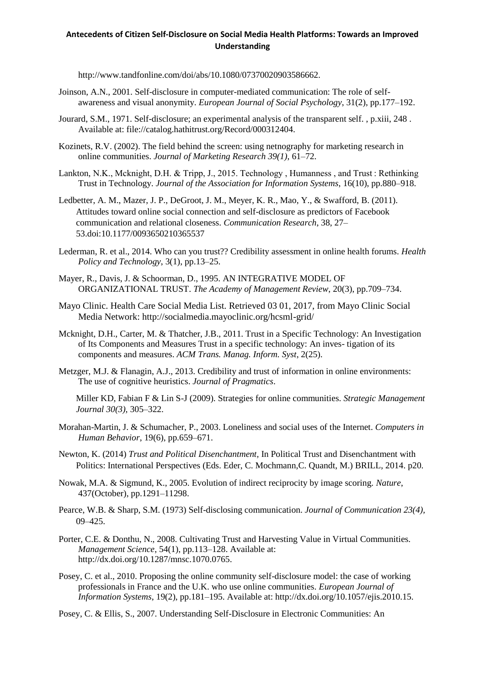http://www.tandfonline.com/doi/abs/10.1080/07370020903586662.

- Joinson, A.N., 2001. Self-disclosure in computer-mediated communication: The role of selfawareness and visual anonymity. *European Journal of Social Psychology*, 31(2), pp.177–192.
- Jourard, S.M., 1971. Self-disclosure; an experimental analysis of the transparent self. , p.xiii, 248 . Available at: file://catalog.hathitrust.org/Record/000312404.
- Kozinets, R.V. (2002). The field behind the screen: using netnography for marketing research in online communities. *Journal of Marketing Research 39(1)*, 61–72.
- Lankton, N.K., Mcknight, D.H. & Tripp, J., 2015. Technology, Humanness, and Trust: Rethinking Trust in Technology. *Journal of the Association for Information Systems*, 16(10), pp.880–918.
- Ledbetter, A. M., Mazer, J. P., DeGroot, J. M., Meyer, K. R., Mao, Y., & Swafford, B. (2011). Attitudes toward online social connection and self-disclosure as predictors of Facebook communication and relational closeness. *Communication Research*, 38, 27– 53.doi:10.1177/0093650210365537
- Lederman, R. et al., 2014. Who can you trust?? Credibility assessment in online health forums. *Health Policy and Technology*, 3(1), pp.13–25.
- Mayer, R., Davis, J. & Schoorman, D., 1995. AN INTEGRATIVE MODEL OF ORGANIZATIONAL TRUST. *The Academy of Management Review*, 20(3), pp.709–734.
- Mayo Clinic. Health Care Social Media List. Retrieved 03 01, 2017, from Mayo Clinic Social Media Network: http://socialmedia.mayoclinic.org/hcsml-grid/
- Mcknight, D.H., Carter, M. & Thatcher, J.B., 2011. Trust in a Specific Technology: An Investigation of Its Components and Measures Trust in a specific technology: An inves- tigation of its components and measures. *ACM Trans. Manag. Inform. Syst*, 2(25).
- Metzger, M.J. & Flanagin, A.J., 2013. Credibility and trust of information in online environments: The use of cognitive heuristics. *Journal of Pragmatics*.

Miller KD, Fabian F & Lin S-J (2009). Strategies for online communities. *Strategic Management Journal 30(3),* 305–322.

- Morahan-Martin, J. & Schumacher, P., 2003. Loneliness and social uses of the Internet. *Computers in Human Behavior*, 19(6), pp.659–671.
- Newton, K. (2014) *Trust and Political Disenchantment,* In Political Trust and Disenchantment with Politics: International Perspectives (Eds. Eder, C. Mochmann,C. Quandt, M.) BRILL, 2014. p20.
- Nowak, M.A. & Sigmund, K., 2005. Evolution of indirect reciprocity by image scoring. *Nature*, 437(October), pp.1291–11298.
- Pearce, W.B. & Sharp, S.M. (1973) Self-disclosing communication. *Journal of Communication 23(4),* 09–425.
- Porter, C.E. & Donthu, N., 2008. Cultivating Trust and Harvesting Value in Virtual Communities. *Management Science*, 54(1), pp.113–128. Available at: http://dx.doi.org/10.1287/mnsc.1070.0765.
- Posey, C. et al., 2010. Proposing the online community self-disclosure model: the case of working professionals in France and the U.K. who use online communities. *European Journal of Information Systems*, 19(2), pp.181–195. Available at: http://dx.doi.org/10.1057/ejis.2010.15.
- Posey, C. & Ellis, S., 2007. Understanding Self-Disclosure in Electronic Communities: An